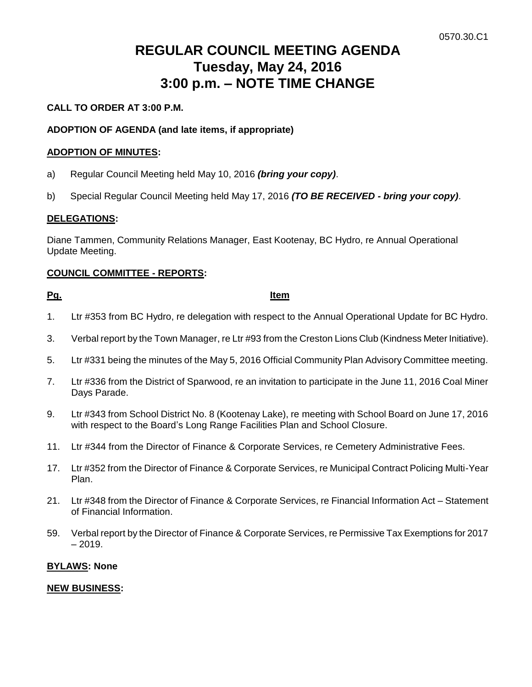# **REGULAR COUNCIL MEETING AGENDA Tuesday, May 24, 2016 3:00 p.m. – NOTE TIME CHANGE**

# **CALL TO ORDER AT 3:00 P.M.**

# **ADOPTION OF AGENDA (and late items, if appropriate)**

### **ADOPTION OF MINUTES:**

- a) Regular Council Meeting held May 10, 2016 *(bring your copy)*.
- b) Special Regular Council Meeting held May 17, 2016 *(TO BE RECEIVED - bring your copy)*.

#### **DELEGATIONS:**

Diane Tammen, Community Relations Manager, East Kootenay, BC Hydro, re Annual Operational Update Meeting.

## **COUNCIL COMMITTEE - REPORTS:**

#### **Pg. Item**

- 1. Ltr #353 from BC Hydro, re delegation with respect to the Annual Operational Update for BC Hydro.
- 3. Verbal report by the Town Manager, re Ltr #93 from the Creston Lions Club (Kindness Meter Initiative).
- 5. Ltr #331 being the minutes of the May 5, 2016 Official Community Plan Advisory Committee meeting.
- 7. Ltr #336 from the District of Sparwood, re an invitation to participate in the June 11, 2016 Coal Miner Days Parade.
- 9. Ltr #343 from School District No. 8 (Kootenay Lake), re meeting with School Board on June 17, 2016 with respect to the Board's Long Range Facilities Plan and School Closure.
- 11. Ltr #344 from the Director of Finance & Corporate Services, re Cemetery Administrative Fees.
- 17. Ltr #352 from the Director of Finance & Corporate Services, re Municipal Contract Policing Multi-Year Plan.
- 21. Ltr #348 from the Director of Finance & Corporate Services, re Financial Information Act Statement of Financial Information.
- 59. Verbal report by the Director of Finance & Corporate Services, re Permissive Tax Exemptions for 2017  $-2019.$

#### **BYLAWS: None**

#### **NEW BUSINESS:**